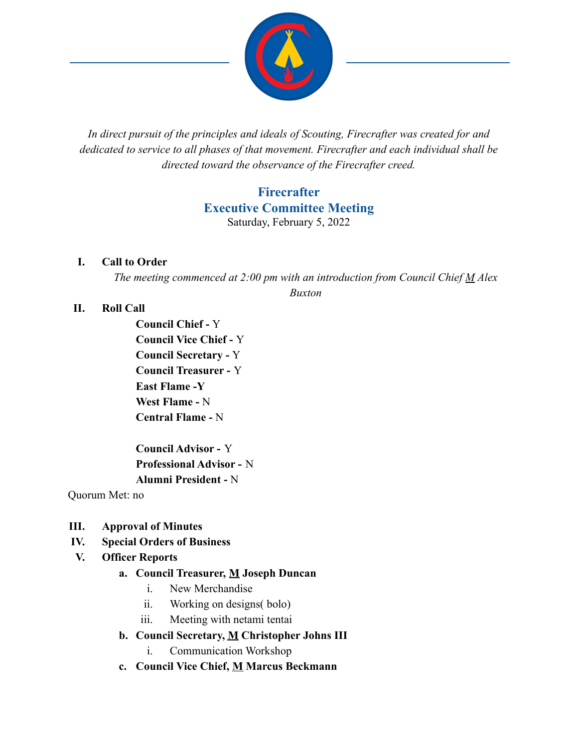

*In direct pursuit of the principles and ideals of Scouting, Firecrafter was created for and dedicated to service to all phases of that movement. Firecrafter and each individual shall be directed toward the observance of the Firecrafter creed.*

# **Firecrafter Executive Committee Meeting** Saturday, February 5, 2022

#### **I. Call to Order**

*The meeting commenced at 2:00 pm with an introduction from Council Chief M Alex Buxton*

#### **II. Roll Call**

**Council Chief -** Y **Council Vice Chief -** Y **Council Secretary -** Y **Council Treasurer -** Y **East Flame -Y West Flame -** N **Central Flame -** N

**Council Advisor -** Y **Professional Advisor -** N **Alumni President -** N

Quorum Met: no

- **III. Approval of Minutes**
- **IV. Special Orders of Business**

### **V. Officer Reports**

#### **a. Council Treasurer, M Joseph Duncan**

- i. New Merchandise
- ii. Working on designs( bolo)
- iii. Meeting with netami tentai
- **b. Council Secretary, M Christopher Johns III**
	- i. Communication Workshop
- **c. Council Vice Chief, M Marcus Beckmann**